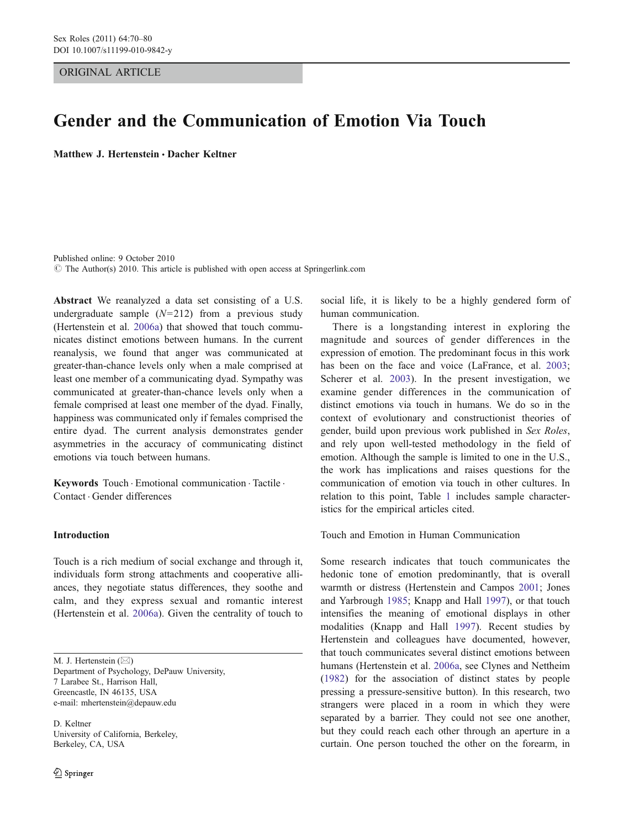ORIGINAL ARTICLE

# Gender and the Communication of Emotion Via Touch

Matthew J. Hertenstein · Dacher Keltner

Published online: 9 October 2010  $\odot$  The Author(s) 2010. This article is published with open access at Springerlink.com

Abstract We reanalyzed a data set consisting of a U.S. undergraduate sample  $(N=212)$  from a previous study (Hertenstein et al. [2006a](#page-9-0)) that showed that touch communicates distinct emotions between humans. In the current reanalysis, we found that anger was communicated at greater-than-chance levels only when a male comprised at least one member of a communicating dyad. Sympathy was communicated at greater-than-chance levels only when a female comprised at least one member of the dyad. Finally, happiness was communicated only if females comprised the entire dyad. The current analysis demonstrates gender asymmetries in the accuracy of communicating distinct emotions via touch between humans.

Keywords Touch . Emotional communication . Tactile . Contact . Gender differences

## Introduction

Touch is a rich medium of social exchange and through it, individuals form strong attachments and cooperative alliances, they negotiate status differences, they soothe and calm, and they express sexual and romantic interest (Hertenstein et al. [2006a](#page-9-0)). Given the centrality of touch to

M. J. Hertenstein  $(\boxtimes)$ Department of Psychology, DePauw University, 7 Larabee St., Harrison Hall, Greencastle, IN 46135, USA e-mail: mhertenstein@depauw.edu

D. Keltner University of California, Berkeley, Berkeley, CA, USA

social life, it is likely to be a highly gendered form of human communication.

There is a longstanding interest in exploring the magnitude and sources of gender differences in the expression of emotion. The predominant focus in this work has been on the face and voice (LaFrance, et al. [2003;](#page-9-0) Scherer et al. [2003](#page-10-0)). In the present investigation, we examine gender differences in the communication of distinct emotions via touch in humans. We do so in the context of evolutionary and constructionist theories of gender, build upon previous work published in Sex Roles, and rely upon well-tested methodology in the field of emotion. Although the sample is limited to one in the U.S., the work has implications and raises questions for the communication of emotion via touch in other cultures. In relation to this point, Table [1](#page-1-0) includes sample characteristics for the empirical articles cited.

Touch and Emotion in Human Communication

Some research indicates that touch communicates the hedonic tone of emotion predominantly, that is overall warmth or distress (Hertenstein and Campos [2001](#page-9-0); Jones and Yarbrough [1985](#page-9-0); Knapp and Hall [1997](#page-9-0)), or that touch intensifies the meaning of emotional displays in other modalities (Knapp and Hall [1997](#page-9-0)). Recent studies by Hertenstein and colleagues have documented, however, that touch communicates several distinct emotions between humans (Hertenstein et al. [2006a,](#page-9-0) see Clynes and Nettheim [\(1982](#page-8-0)) for the association of distinct states by people pressing a pressure-sensitive button). In this research, two strangers were placed in a room in which they were separated by a barrier. They could not see one another, but they could reach each other through an aperture in a curtain. One person touched the other on the forearm, in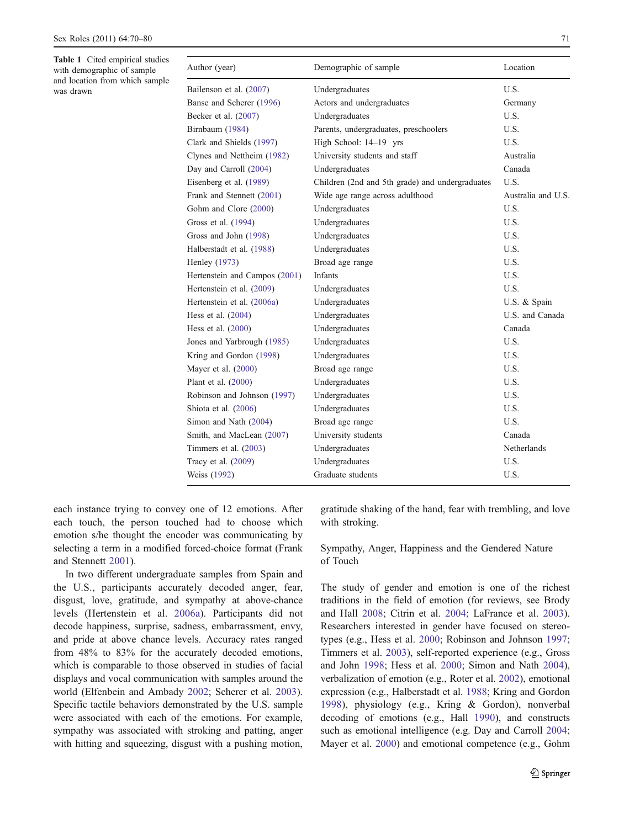<span id="page-1-0"></span>Table 1 Cited empirical studies with demographic of sample and location from which sample was drawn

| Demographic of sample                           | Location           |
|-------------------------------------------------|--------------------|
| Undergraduates                                  | U.S.               |
| Actors and undergraduates                       | Germany            |
| Undergraduates                                  | U.S.               |
| Parents, undergraduates, preschoolers           | U.S.               |
| High School: 14-19 yrs                          | U.S.               |
| University students and staff                   | Australia          |
| Undergraduates                                  | Canada             |
| Children (2nd and 5th grade) and undergraduates | U.S.               |
| Wide age range across adulthood                 | Australia and U.S. |
| Undergraduates                                  | U.S.               |
| Undergraduates                                  | U.S.               |
| Undergraduates                                  | U.S.               |
| Undergraduates                                  | U.S.               |
| Broad age range                                 | U.S.               |
| Infants                                         | U.S.               |
| Undergraduates                                  | U.S.               |
| Undergraduates                                  | U.S. & Spain       |
| Undergraduates                                  | U.S. and Canada    |
| Undergraduates                                  | Canada             |
| Undergraduates                                  | U.S.               |
| Undergraduates                                  | U.S.               |
| Broad age range                                 | U.S.               |
| Undergraduates                                  | U.S.               |
| Undergraduates                                  | U.S.               |
| Undergraduates                                  | U.S.               |
| Broad age range                                 | U.S.               |
| University students                             | Canada             |
| Undergraduates                                  | Netherlands        |
| Undergraduates                                  | U.S.               |
| Graduate students                               | U.S.               |
|                                                 |                    |

each instance trying to convey one of 12 emotions. After each touch, the person touched had to choose which emotion s/he thought the encoder was communicating by selecting a term in a modified forced-choice format (Frank and Stennett [2001](#page-9-0)).

In two different undergraduate samples from Spain and the U.S., participants accurately decoded anger, fear, disgust, love, gratitude, and sympathy at above-chance levels (Hertenstein et al. [2006a](#page-9-0)). Participants did not decode happiness, surprise, sadness, embarrassment, envy, and pride at above chance levels. Accuracy rates ranged from 48% to 83% for the accurately decoded emotions, which is comparable to those observed in studies of facial displays and vocal communication with samples around the world (Elfenbein and Ambady [2002](#page-9-0); Scherer et al. [2003](#page-10-0)). Specific tactile behaviors demonstrated by the U.S. sample were associated with each of the emotions. For example, sympathy was associated with stroking and patting, anger with hitting and squeezing, disgust with a pushing motion,

gratitude shaking of the hand, fear with trembling, and love with stroking.

Sympathy, Anger, Happiness and the Gendered Nature of Touch

The study of gender and emotion is one of the richest traditions in the field of emotion (for reviews, see Brody and Hall [2008;](#page-8-0) Citrin et al. [2004](#page-8-0); LaFrance et al. [2003\)](#page-9-0). Researchers interested in gender have focused on stereotypes (e.g., Hess et al. [2000](#page-9-0); Robinson and Johnson [1997;](#page-10-0) Timmers et al. [2003](#page-10-0)), self-reported experience (e.g., Gross and John [1998;](#page-9-0) Hess et al. [2000;](#page-9-0) Simon and Nath [2004\)](#page-10-0), verbalization of emotion (e.g., Roter et al. [2002](#page-10-0)), emotional expression (e.g., Halberstadt et al. [1988](#page-9-0); Kring and Gordon [1998](#page-9-0)), physiology (e.g., Kring & Gordon), nonverbal decoding of emotions (e.g., Hall [1990\)](#page-9-0), and constructs such as emotional intelligence (e.g. Day and Carroll [2004;](#page-8-0) Mayer et al. [2000](#page-9-0)) and emotional competence (e.g., Gohm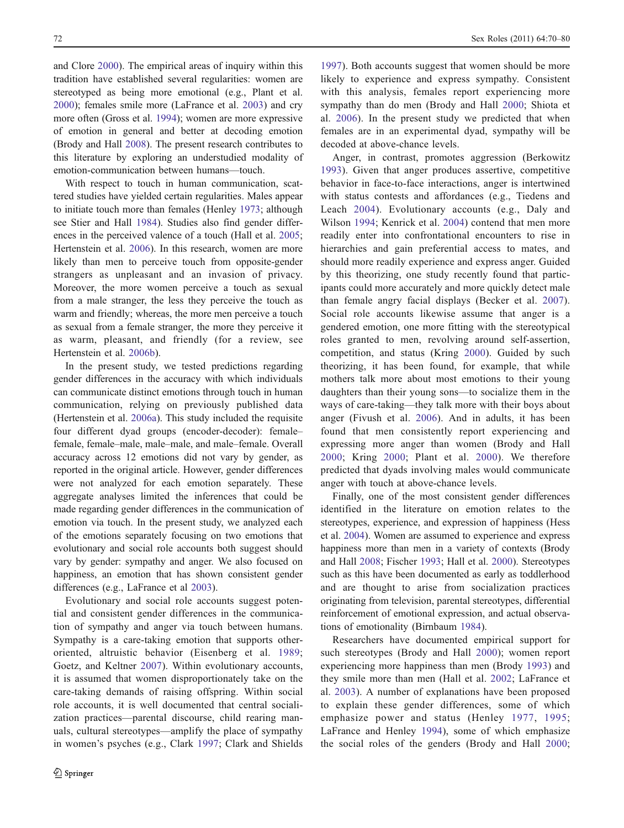and Clore [2000](#page-9-0)). The empirical areas of inquiry within this tradition have established several regularities: women are stereotyped as being more emotional (e.g., Plant et al. [2000\)](#page-9-0); females smile more (LaFrance et al. [2003\)](#page-9-0) and cry more often (Gross et al. [1994\)](#page-9-0); women are more expressive of emotion in general and better at decoding emotion (Brody and Hall [2008\)](#page-8-0). The present research contributes to this literature by exploring an understudied modality of emotion-communication between humans—touch.

With respect to touch in human communication, scattered studies have yielded certain regularities. Males appear to initiate touch more than females (Henley [1973;](#page-9-0) although see Stier and Hall [1984](#page-10-0)). Studies also find gender differences in the perceived valence of a touch (Hall et al. [2005](#page-9-0); Hertenstein et al. [2006](#page-9-0)). In this research, women are more likely than men to perceive touch from opposite-gender strangers as unpleasant and an invasion of privacy. Moreover, the more women perceive a touch as sexual from a male stranger, the less they perceive the touch as warm and friendly; whereas, the more men perceive a touch as sexual from a female stranger, the more they perceive it as warm, pleasant, and friendly (for a review, see Hertenstein et al. [2006b\)](#page-9-0).

In the present study, we tested predictions regarding gender differences in the accuracy with which individuals can communicate distinct emotions through touch in human communication, relying on previously published data (Hertenstein et al. [2006a](#page-9-0)). This study included the requisite four different dyad groups (encoder-decoder): female– female, female–male, male–male, and male–female. Overall accuracy across 12 emotions did not vary by gender, as reported in the original article. However, gender differences were not analyzed for each emotion separately. These aggregate analyses limited the inferences that could be made regarding gender differences in the communication of emotion via touch. In the present study, we analyzed each of the emotions separately focusing on two emotions that evolutionary and social role accounts both suggest should vary by gender: sympathy and anger. We also focused on happiness, an emotion that has shown consistent gender differences (e.g., LaFrance et al [2003](#page-9-0)).

Evolutionary and social role accounts suggest potential and consistent gender differences in the communication of sympathy and anger via touch between humans. Sympathy is a care-taking emotion that supports otheroriented, altruistic behavior (Eisenberg et al. [1989](#page-8-0); Goetz, and Keltner [2007\)](#page-9-0). Within evolutionary accounts, it is assumed that women disproportionately take on the care-taking demands of raising offspring. Within social role accounts, it is well documented that central socialization practices—parental discourse, child rearing manuals, cultural stereotypes—amplify the place of sympathy in women's psyches (e.g., Clark [1997;](#page-8-0) Clark and Shields

[1997](#page-8-0)). Both accounts suggest that women should be more likely to experience and express sympathy. Consistent with this analysis, females report experiencing more sympathy than do men (Brody and Hall [2000](#page-8-0); Shiota et al. [2006](#page-10-0)). In the present study we predicted that when females are in an experimental dyad, sympathy will be decoded at above-chance levels.

Anger, in contrast, promotes aggression (Berkowitz [1993](#page-8-0)). Given that anger produces assertive, competitive behavior in face-to-face interactions, anger is intertwined with status contests and affordances (e.g., Tiedens and Leach [2004\)](#page-10-0). Evolutionary accounts (e.g., Daly and Wilson [1994](#page-8-0); Kenrick et al. [2004\)](#page-9-0) contend that men more readily enter into confrontational encounters to rise in hierarchies and gain preferential access to mates, and should more readily experience and express anger. Guided by this theorizing, one study recently found that participants could more accurately and more quickly detect male than female angry facial displays (Becker et al. [2007](#page-8-0)). Social role accounts likewise assume that anger is a gendered emotion, one more fitting with the stereotypical roles granted to men, revolving around self-assertion, competition, and status (Kring [2000\)](#page-9-0). Guided by such theorizing, it has been found, for example, that while mothers talk more about most emotions to their young daughters than their young sons—to socialize them in the ways of care-taking—they talk more with their boys about anger (Fivush et al. [2006](#page-9-0)). And in adults, it has been found that men consistently report experiencing and expressing more anger than women (Brody and Hall [2000;](#page-8-0) Kring [2000](#page-9-0); Plant et al. [2000](#page-9-0)). We therefore predicted that dyads involving males would communicate anger with touch at above-chance levels.

Finally, one of the most consistent gender differences identified in the literature on emotion relates to the stereotypes, experience, and expression of happiness (Hess et al. [2004](#page-9-0)). Women are assumed to experience and express happiness more than men in a variety of contexts (Brody and Hall [2008](#page-8-0); Fischer [1993](#page-9-0); Hall et al. [2000](#page-9-0)). Stereotypes such as this have been documented as early as toddlerhood and are thought to arise from socialization practices originating from television, parental stereotypes, differential reinforcement of emotional expression, and actual observations of emotionality (Birnbaum [1984](#page-8-0)).

Researchers have documented empirical support for such stereotypes (Brody and Hall [2000\)](#page-8-0); women report experiencing more happiness than men (Brody [1993](#page-8-0)) and they smile more than men (Hall et al. [2002;](#page-9-0) LaFrance et al. [2003\)](#page-9-0). A number of explanations have been proposed to explain these gender differences, some of which emphasize power and status (Henley [1977](#page-9-0), [1995;](#page-9-0) LaFrance and Henley [1994\)](#page-9-0), some of which emphasize the social roles of the genders (Brody and Hall [2000;](#page-8-0)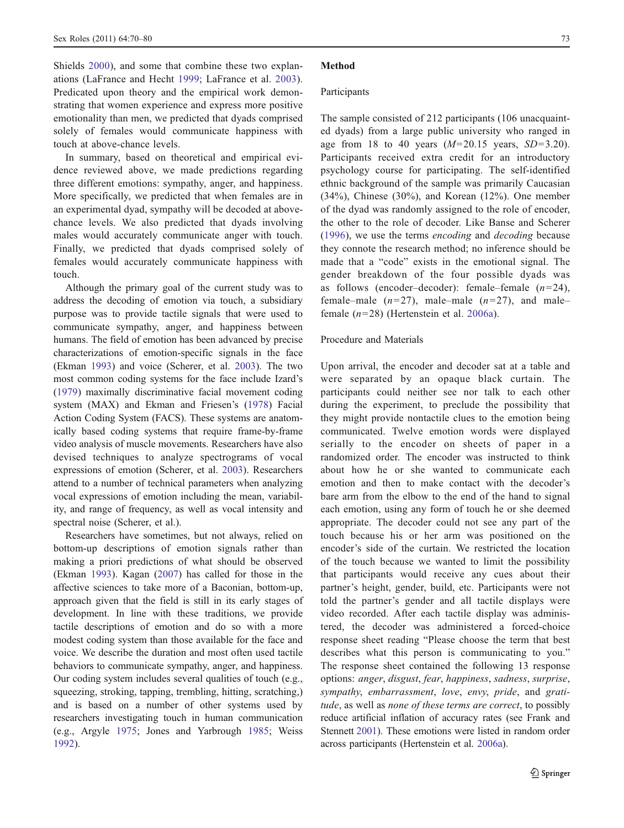Shields [2000\)](#page-10-0), and some that combine these two explanations (LaFrance and Hecht [1999](#page-9-0); LaFrance et al. [2003](#page-9-0)). Predicated upon theory and the empirical work demonstrating that women experience and express more positive emotionality than men, we predicted that dyads comprised solely of females would communicate happiness with touch at above-chance levels.

In summary, based on theoretical and empirical evidence reviewed above, we made predictions regarding three different emotions: sympathy, anger, and happiness. More specifically, we predicted that when females are in an experimental dyad, sympathy will be decoded at abovechance levels. We also predicted that dyads involving males would accurately communicate anger with touch. Finally, we predicted that dyads comprised solely of females would accurately communicate happiness with touch.

Although the primary goal of the current study was to address the decoding of emotion via touch, a subsidiary purpose was to provide tactile signals that were used to communicate sympathy, anger, and happiness between humans. The field of emotion has been advanced by precise characterizations of emotion-specific signals in the face (Ekman [1993\)](#page-9-0) and voice (Scherer, et al. [2003](#page-10-0)). The two most common coding systems for the face include Izard's [\(1979](#page-9-0)) maximally discriminative facial movement coding system (MAX) and Ekman and Friesen's [\(1978](#page-9-0)) Facial Action Coding System (FACS). These systems are anatomically based coding systems that require frame-by-frame video analysis of muscle movements. Researchers have also devised techniques to analyze spectrograms of vocal expressions of emotion (Scherer, et al. [2003](#page-10-0)). Researchers attend to a number of technical parameters when analyzing vocal expressions of emotion including the mean, variability, and range of frequency, as well as vocal intensity and spectral noise (Scherer, et al.).

Researchers have sometimes, but not always, relied on bottom-up descriptions of emotion signals rather than making a priori predictions of what should be observed (Ekman [1993\)](#page-9-0). Kagan [\(2007](#page-9-0)) has called for those in the affective sciences to take more of a Baconian, bottom-up, approach given that the field is still in its early stages of development. In line with these traditions, we provide tactile descriptions of emotion and do so with a more modest coding system than those available for the face and voice. We describe the duration and most often used tactile behaviors to communicate sympathy, anger, and happiness. Our coding system includes several qualities of touch (e.g., squeezing, stroking, tapping, trembling, hitting, scratching,) and is based on a number of other systems used by researchers investigating touch in human communication (e.g., Argyle [1975;](#page-8-0) Jones and Yarbrough [1985;](#page-9-0) Weiss [1992\)](#page-10-0).

#### Method

#### Participants

The sample consisted of 212 participants (106 unacquainted dyads) from a large public university who ranged in age from 18 to 40 years  $(M=20.15$  years,  $SD=3.20$ ). Participants received extra credit for an introductory psychology course for participating. The self-identified ethnic background of the sample was primarily Caucasian (34%), Chinese (30%), and Korean (12%). One member of the dyad was randomly assigned to the role of encoder, the other to the role of decoder. Like Banse and Scherer [\(1996\)](#page-8-0), we use the terms encoding and decoding because they connote the research method; no inference should be made that a "code" exists in the emotional signal. The gender breakdown of the four possible dyads was as follows (encoder–decoder): female–female  $(n=24)$ , female–male  $(n=27)$ , male–male  $(n=27)$ , and male– female  $(n=28)$  (Hertenstein et al. [2006a](#page-9-0)).

## Procedure and Materials

Upon arrival, the encoder and decoder sat at a table and were separated by an opaque black curtain. The participants could neither see nor talk to each other during the experiment, to preclude the possibility that they might provide nontactile clues to the emotion being communicated. Twelve emotion words were displayed serially to the encoder on sheets of paper in a randomized order. The encoder was instructed to think about how he or she wanted to communicate each emotion and then to make contact with the decoder's bare arm from the elbow to the end of the hand to signal each emotion, using any form of touch he or she deemed appropriate. The decoder could not see any part of the touch because his or her arm was positioned on the encoder's side of the curtain. We restricted the location of the touch because we wanted to limit the possibility that participants would receive any cues about their partner's height, gender, build, etc. Participants were not told the partner's gender and all tactile displays were video recorded. After each tactile display was administered, the decoder was administered a forced-choice response sheet reading "Please choose the term that best describes what this person is communicating to you." The response sheet contained the following 13 response options: anger, disgust, fear, happiness, sadness, surprise, sympathy, embarrassment, love, envy, pride, and gratitude, as well as none of these terms are correct, to possibly reduce artificial inflation of accuracy rates (see Frank and Stennett [2001](#page-9-0)). These emotions were listed in random order across participants (Hertenstein et al. [2006a\)](#page-9-0).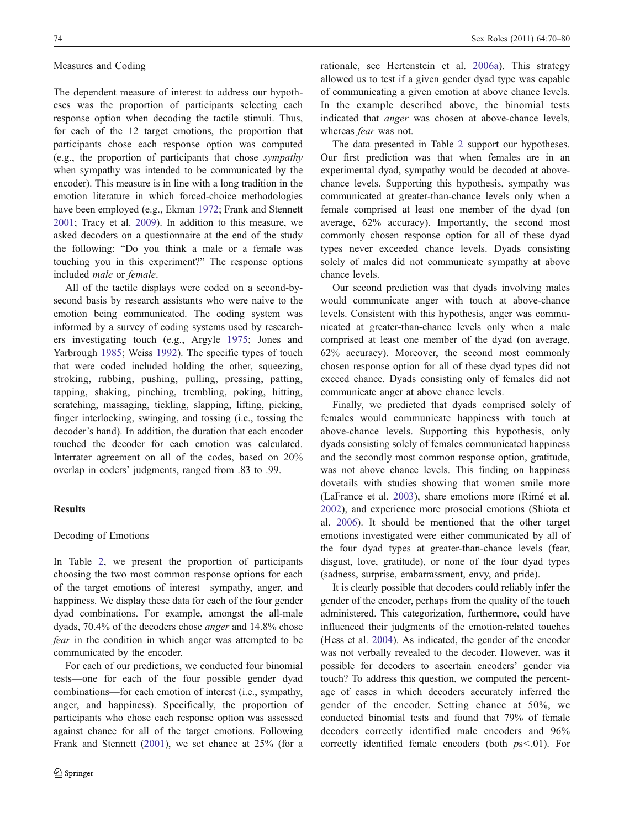#### Measures and Coding

The dependent measure of interest to address our hypotheses was the proportion of participants selecting each response option when decoding the tactile stimuli. Thus, for each of the 12 target emotions, the proportion that participants chose each response option was computed (e.g., the proportion of participants that chose sympathy when sympathy was intended to be communicated by the encoder). This measure is in line with a long tradition in the emotion literature in which forced-choice methodologies have been employed (e.g., Ekman [1972;](#page-9-0) Frank and Stennett [2001;](#page-9-0) Tracy et al. [2009](#page-10-0)). In addition to this measure, we asked decoders on a questionnaire at the end of the study the following: "Do you think a male or a female was touching you in this experiment?" The response options included male or female.

All of the tactile displays were coded on a second-bysecond basis by research assistants who were naive to the emotion being communicated. The coding system was informed by a survey of coding systems used by researchers investigating touch (e.g., Argyle [1975;](#page-8-0) Jones and Yarbrough [1985](#page-9-0); Weiss [1992](#page-10-0)). The specific types of touch that were coded included holding the other, squeezing, stroking, rubbing, pushing, pulling, pressing, patting, tapping, shaking, pinching, trembling, poking, hitting, scratching, massaging, tickling, slapping, lifting, picking, finger interlocking, swinging, and tossing (i.e., tossing the decoder's hand). In addition, the duration that each encoder touched the decoder for each emotion was calculated. Interrater agreement on all of the codes, based on 20% overlap in coders' judgments, ranged from .83 to .99.

## **Results**

## Decoding of Emotions

In Table [2](#page-5-0), we present the proportion of participants choosing the two most common response options for each of the target emotions of interest—sympathy, anger, and happiness. We display these data for each of the four gender dyad combinations. For example, amongst the all-male dyads, 70.4% of the decoders chose anger and 14.8% chose fear in the condition in which anger was attempted to be communicated by the encoder.

For each of our predictions, we conducted four binomial tests—one for each of the four possible gender dyad combinations—for each emotion of interest (i.e., sympathy, anger, and happiness). Specifically, the proportion of participants who chose each response option was assessed against chance for all of the target emotions. Following Frank and Stennett ([2001\)](#page-9-0), we set chance at 25% (for a

rationale, see Hertenstein et al. [2006a](#page-9-0)). This strategy allowed us to test if a given gender dyad type was capable of communicating a given emotion at above chance levels. In the example described above, the binomial tests indicated that anger was chosen at above-chance levels, whereas fear was not.

The data presented in Table [2](#page-5-0) support our hypotheses. Our first prediction was that when females are in an experimental dyad, sympathy would be decoded at abovechance levels. Supporting this hypothesis, sympathy was communicated at greater-than-chance levels only when a female comprised at least one member of the dyad (on average, 62% accuracy). Importantly, the second most commonly chosen response option for all of these dyad types never exceeded chance levels. Dyads consisting solely of males did not communicate sympathy at above chance levels.

Our second prediction was that dyads involving males would communicate anger with touch at above-chance levels. Consistent with this hypothesis, anger was communicated at greater-than-chance levels only when a male comprised at least one member of the dyad (on average, 62% accuracy). Moreover, the second most commonly chosen response option for all of these dyad types did not exceed chance. Dyads consisting only of females did not communicate anger at above chance levels.

Finally, we predicted that dyads comprised solely of females would communicate happiness with touch at above-chance levels. Supporting this hypothesis, only dyads consisting solely of females communicated happiness and the secondly most common response option, gratitude, was not above chance levels. This finding on happiness dovetails with studies showing that women smile more (LaFrance et al. [2003](#page-9-0)), share emotions more (Rimé et al. [2002](#page-9-0)), and experience more prosocial emotions (Shiota et al. [2006](#page-10-0)). It should be mentioned that the other target emotions investigated were either communicated by all of the four dyad types at greater-than-chance levels (fear, disgust, love, gratitude), or none of the four dyad types (sadness, surprise, embarrassment, envy, and pride).

It is clearly possible that decoders could reliably infer the gender of the encoder, perhaps from the quality of the touch administered. This categorization, furthermore, could have influenced their judgments of the emotion-related touches (Hess et al. [2004](#page-9-0)). As indicated, the gender of the encoder was not verbally revealed to the decoder. However, was it possible for decoders to ascertain encoders' gender via touch? To address this question, we computed the percentage of cases in which decoders accurately inferred the gender of the encoder. Setting chance at 50%, we conducted binomial tests and found that 79% of female decoders correctly identified male encoders and 96% correctly identified female encoders (both ps<.01). For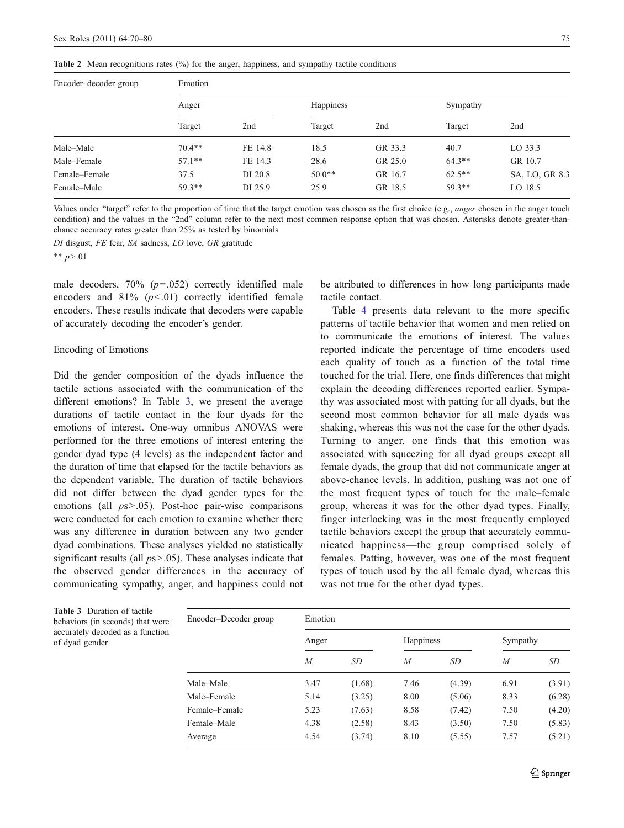<span id="page-5-0"></span>

| Encoder-decoder group | Emotion  |         |           |         |           |                |  |  |  |
|-----------------------|----------|---------|-----------|---------|-----------|----------------|--|--|--|
|                       | Anger    |         | Happiness |         | Sympathy  |                |  |  |  |
|                       | Target   | 2nd     | Target    | 2nd     | Target    | 2nd            |  |  |  |
| Male–Male             | $70.4**$ | FE 14.8 | 18.5      | GR 33.3 | 40.7      | LO 33.3        |  |  |  |
| Male-Female           | $57.1**$ | FE 14.3 | 28.6      | GR 25.0 | $64.3***$ | GR 10.7        |  |  |  |
| Female–Female         | 37.5     | DI 20.8 | $50.0**$  | GR 16.7 | $62.5***$ | SA, LO, GR 8.3 |  |  |  |

Values under "target" refer to the proportion of time that the target emotion was chosen as the first choice (e.g., anger chosen in the anger touch condition) and the values in the "2nd" column refer to the next most common response option that was chosen. Asterisks denote greater-thanchance accuracy rates greater than 25% as tested by binomials

Female–Male 59.3\*\* DI 25.9 25.9 GR 18.5 59.3\*\* LO 18.5

DI disgust, FE fear, SA sadness, LO love, GR gratitude

\*\*  $p > 01$ 

male decoders,  $70\%$  ( $p = .052$ ) correctly identified male encoders and  $81\%$  ( $p<.01$ ) correctly identified female encoders. These results indicate that decoders were capable of accurately decoding the encoder's gender.

#### Encoding of Emotions

Did the gender composition of the dyads influence the tactile actions associated with the communication of the different emotions? In Table 3, we present the average durations of tactile contact in the four dyads for the emotions of interest. One-way omnibus ANOVAS were performed for the three emotions of interest entering the gender dyad type (4 levels) as the independent factor and the duration of time that elapsed for the tactile behaviors as the dependent variable. The duration of tactile behaviors did not differ between the dyad gender types for the emotions (all  $ps > .05$ ). Post-hoc pair-wise comparisons were conducted for each emotion to examine whether there was any difference in duration between any two gender dyad combinations. These analyses yielded no statistically significant results (all  $ps$  $> 0.05$ ). These analyses indicate that the observed gender differences in the accuracy of communicating sympathy, anger, and happiness could not be attributed to differences in how long participants made tactile contact.

Table [4](#page-6-0) presents data relevant to the more specific patterns of tactile behavior that women and men relied on to communicate the emotions of interest. The values reported indicate the percentage of time encoders used each quality of touch as a function of the total time touched for the trial. Here, one finds differences that might explain the decoding differences reported earlier. Sympathy was associated most with patting for all dyads, but the second most common behavior for all male dyads was shaking, whereas this was not the case for the other dyads. Turning to anger, one finds that this emotion was associated with squeezing for all dyad groups except all female dyads, the group that did not communicate anger at above-chance levels. In addition, pushing was not one of the most frequent types of touch for the male–female group, whereas it was for the other dyad types. Finally, finger interlocking was in the most frequently employed tactile behaviors except the group that accurately communicated happiness—the group comprised solely of females. Patting, however, was one of the most frequent types of touch used by the all female dyad, whereas this was not true for the other dyad types.

| Encoder-Decoder group | Emotion |           |                |        |          |        |  |  |
|-----------------------|---------|-----------|----------------|--------|----------|--------|--|--|
|                       | Anger   |           | Happiness      |        | Sympathy |        |  |  |
|                       | M       | <b>SD</b> | $\overline{M}$ | SD     | M        | SD     |  |  |
| Male-Male             | 3.47    | (1.68)    | 7.46           | (4.39) | 6.91     | (3.91) |  |  |
| Male-Female           | 5.14    | (3.25)    | 8.00           | (5.06) | 8.33     | (6.28) |  |  |
| Female–Female         | 5.23    | (7.63)    | 8.58           | (7.42) | 7.50     | (4.20) |  |  |
| Female-Male           | 4.38    | (2.58)    | 8.43           | (3.50) | 7.50     | (5.83) |  |  |
| Average               | 4.54    | (3.74)    | 8.10           | (5.55) | 7.57     | (5.21) |  |  |

Table 3 Duration of tactile behaviors (in seconds) that were accurately decoded as a function of dyad gender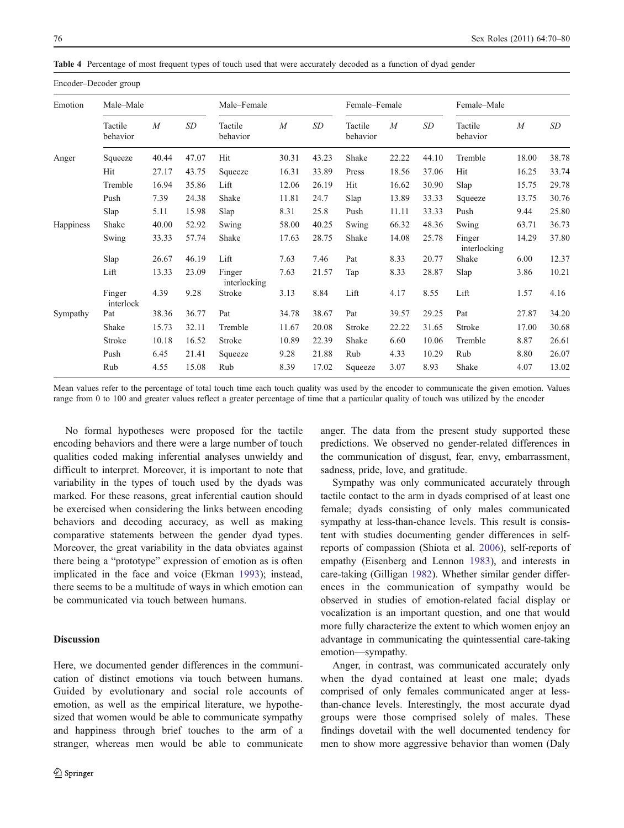Encoder–Decoder group

<span id="page-6-0"></span>Table 4 Percentage of most frequent types of touch used that were accurately decoded as a function of dyad gender

| Emotion   | Male-Male           |                  |       | Male-Female            |                  |       | Female-Female       |                  |       | Female-Male            |       |       |
|-----------|---------------------|------------------|-------|------------------------|------------------|-------|---------------------|------------------|-------|------------------------|-------|-------|
|           | Tactile<br>behavior | $\boldsymbol{M}$ | SD    | Tactile<br>behavior    | $\boldsymbol{M}$ | SD    | Tactile<br>behavior | $\boldsymbol{M}$ | SD    | Tactile<br>behavior    | M     | SD    |
| Anger     | Squeeze             | 40.44            | 47.07 | Hit                    | 30.31            | 43.23 | Shake               | 22.22            | 44.10 | Tremble                | 18.00 | 38.78 |
|           | Hit                 | 27.17            | 43.75 | Squeeze                | 16.31            | 33.89 | Press               | 18.56            | 37.06 | Hit                    | 16.25 | 33.74 |
|           | Tremble             | 16.94            | 35.86 | Lift                   | 12.06            | 26.19 | Hit                 | 16.62            | 30.90 | Slap                   | 15.75 | 29.78 |
|           | Push                | 7.39             | 24.38 | Shake                  | 11.81            | 24.7  | Slap                | 13.89            | 33.33 | Squeeze                | 13.75 | 30.76 |
|           | Slap                | 5.11             | 15.98 | Slap                   | 8.31             | 25.8  | Push                | 11.11            | 33.33 | Push                   | 9.44  | 25.80 |
| Happiness | Shake               | 40.00            | 52.92 | Swing                  | 58.00            | 40.25 | Swing               | 66.32            | 48.36 | Swing                  | 63.71 | 36.73 |
|           | Swing               | 33.33            | 57.74 | Shake                  | 17.63            | 28.75 | Shake               | 14.08            | 25.78 | Finger<br>interlocking | 14.29 | 37.80 |
|           | Slap                | 26.67            | 46.19 | Lift                   | 7.63             | 7.46  | Pat                 | 8.33             | 20.77 | Shake                  | 6.00  | 12.37 |
|           | Lift                | 13.33            | 23.09 | Finger<br>interlocking | 7.63             | 21.57 | Tap                 | 8.33             | 28.87 | Slap                   | 3.86  | 10.21 |
|           | Finger<br>interlock | 4.39             | 9.28  | Stroke                 | 3.13             | 8.84  | Lift                | 4.17             | 8.55  | Lift                   | 1.57  | 4.16  |
| Sympathy  | Pat                 | 38.36            | 36.77 | Pat                    | 34.78            | 38.67 | Pat                 | 39.57            | 29.25 | Pat                    | 27.87 | 34.20 |
|           | Shake               | 15.73            | 32.11 | Tremble                | 11.67            | 20.08 | Stroke              | 22.22            | 31.65 | Stroke                 | 17.00 | 30.68 |
|           | Stroke              | 10.18            | 16.52 | Stroke                 | 10.89            | 22.39 | Shake               | 6.60             | 10.06 | Tremble                | 8.87  | 26.61 |
|           | Push                | 6.45             | 21.41 | Squeeze                | 9.28             | 21.88 | Rub                 | 4.33             | 10.29 | Rub                    | 8.80  | 26.07 |
|           | Rub                 | 4.55             | 15.08 | Rub                    | 8.39             | 17.02 | Squeeze             | 3.07             | 8.93  | Shake                  | 4.07  | 13.02 |

Mean values refer to the percentage of total touch time each touch quality was used by the encoder to communicate the given emotion. Values range from 0 to 100 and greater values reflect a greater percentage of time that a particular quality of touch was utilized by the encoder

No formal hypotheses were proposed for the tactile encoding behaviors and there were a large number of touch qualities coded making inferential analyses unwieldy and difficult to interpret. Moreover, it is important to note that variability in the types of touch used by the dyads was marked. For these reasons, great inferential caution should be exercised when considering the links between encoding behaviors and decoding accuracy, as well as making comparative statements between the gender dyad types. Moreover, the great variability in the data obviates against there being a "prototype" expression of emotion as is often implicated in the face and voice (Ekman [1993](#page-9-0)); instead, there seems to be a multitude of ways in which emotion can be communicated via touch between humans.

## Discussion

Here, we documented gender differences in the communication of distinct emotions via touch between humans. Guided by evolutionary and social role accounts of emotion, as well as the empirical literature, we hypothesized that women would be able to communicate sympathy and happiness through brief touches to the arm of a stranger, whereas men would be able to communicate anger. The data from the present study supported these predictions. We observed no gender-related differences in the communication of disgust, fear, envy, embarrassment, sadness, pride, love, and gratitude.

Sympathy was only communicated accurately through tactile contact to the arm in dyads comprised of at least one female; dyads consisting of only males communicated sympathy at less-than-chance levels. This result is consistent with studies documenting gender differences in selfreports of compassion (Shiota et al. [2006\)](#page-10-0), self-reports of empathy (Eisenberg and Lennon [1983](#page-8-0)), and interests in care-taking (Gilligan [1982\)](#page-9-0). Whether similar gender differences in the communication of sympathy would be observed in studies of emotion-related facial display or vocalization is an important question, and one that would more fully characterize the extent to which women enjoy an advantage in communicating the quintessential care-taking emotion—sympathy.

Anger, in contrast, was communicated accurately only when the dyad contained at least one male; dyads comprised of only females communicated anger at lessthan-chance levels. Interestingly, the most accurate dyad groups were those comprised solely of males. These findings dovetail with the well documented tendency for men to show more aggressive behavior than women (Daly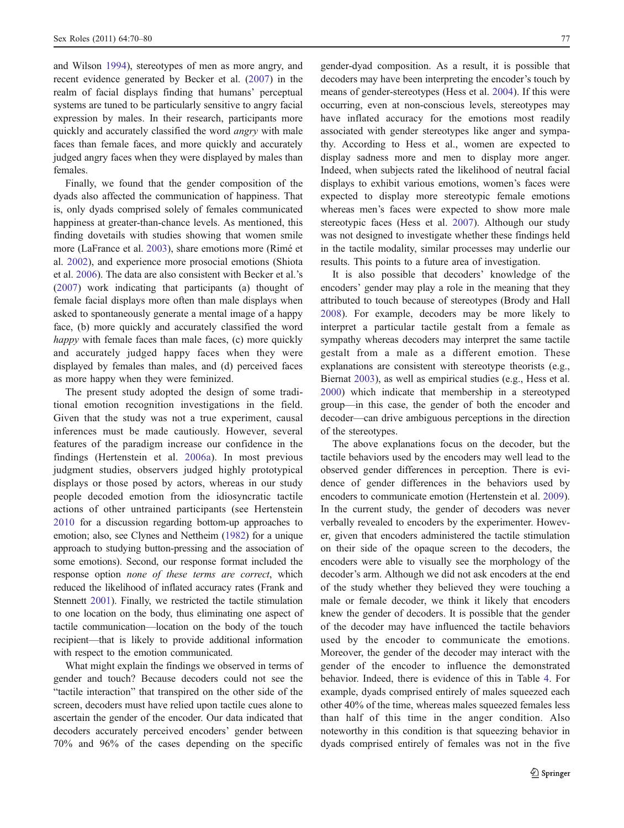and Wilson [1994\)](#page-8-0), stereotypes of men as more angry, and recent evidence generated by Becker et al. [\(2007](#page-8-0)) in the realm of facial displays finding that humans' perceptual systems are tuned to be particularly sensitive to angry facial expression by males. In their research, participants more quickly and accurately classified the word *angry* with male faces than female faces, and more quickly and accurately judged angry faces when they were displayed by males than females.

Finally, we found that the gender composition of the dyads also affected the communication of happiness. That is, only dyads comprised solely of females communicated happiness at greater-than-chance levels. As mentioned, this finding dovetails with studies showing that women smile more (LaFrance et al. [2003\)](#page-9-0), share emotions more (Rimé et al. [2002](#page-9-0)), and experience more prosocial emotions (Shiota et al. [2006\)](#page-10-0). The data are also consistent with Becker et al.'s [\(2007](#page-8-0)) work indicating that participants (a) thought of female facial displays more often than male displays when asked to spontaneously generate a mental image of a happy face, (b) more quickly and accurately classified the word happy with female faces than male faces, (c) more quickly and accurately judged happy faces when they were displayed by females than males, and (d) perceived faces as more happy when they were feminized.

The present study adopted the design of some traditional emotion recognition investigations in the field. Given that the study was not a true experiment, causal inferences must be made cautiously. However, several features of the paradigm increase our confidence in the findings (Hertenstein et al. [2006a](#page-9-0)). In most previous judgment studies, observers judged highly prototypical displays or those posed by actors, whereas in our study people decoded emotion from the idiosyncratic tactile actions of other untrained participants (see Hertenstein [2010](#page-9-0) for a discussion regarding bottom-up approaches to emotion; also, see Clynes and Nettheim ([1982](#page-8-0)) for a unique approach to studying button-pressing and the association of some emotions). Second, our response format included the response option none of these terms are correct, which reduced the likelihood of inflated accuracy rates (Frank and Stennett [2001](#page-9-0)). Finally, we restricted the tactile stimulation to one location on the body, thus eliminating one aspect of tactile communication—location on the body of the touch recipient—that is likely to provide additional information with respect to the emotion communicated.

What might explain the findings we observed in terms of gender and touch? Because decoders could not see the "tactile interaction" that transpired on the other side of the screen, decoders must have relied upon tactile cues alone to ascertain the gender of the encoder. Our data indicated that decoders accurately perceived encoders' gender between 70% and 96% of the cases depending on the specific

gender-dyad composition. As a result, it is possible that decoders may have been interpreting the encoder's touch by means of gender-stereotypes (Hess et al. [2004](#page-9-0)). If this were occurring, even at non-conscious levels, stereotypes may have inflated accuracy for the emotions most readily associated with gender stereotypes like anger and sympathy. According to Hess et al., women are expected to display sadness more and men to display more anger. Indeed, when subjects rated the likelihood of neutral facial displays to exhibit various emotions, women's faces were expected to display more stereotypic female emotions whereas men's faces were expected to show more male stereotypic faces (Hess et al. [2007](#page-9-0)). Although our study was not designed to investigate whether these findings held in the tactile modality, similar processes may underlie our results. This points to a future area of investigation.

It is also possible that decoders' knowledge of the encoders' gender may play a role in the meaning that they attributed to touch because of stereotypes (Brody and Hall [2008](#page-8-0)). For example, decoders may be more likely to interpret a particular tactile gestalt from a female as sympathy whereas decoders may interpret the same tactile gestalt from a male as a different emotion. These explanations are consistent with stereotype theorists (e.g., Biernat [2003](#page-8-0)), as well as empirical studies (e.g., Hess et al. [2000](#page-9-0)) which indicate that membership in a stereotyped group—in this case, the gender of both the encoder and decoder—can drive ambiguous perceptions in the direction of the stereotypes.

The above explanations focus on the decoder, but the tactile behaviors used by the encoders may well lead to the observed gender differences in perception. There is evidence of gender differences in the behaviors used by encoders to communicate emotion (Hertenstein et al. [2009\)](#page-9-0). In the current study, the gender of decoders was never verbally revealed to encoders by the experimenter. However, given that encoders administered the tactile stimulation on their side of the opaque screen to the decoders, the encoders were able to visually see the morphology of the decoder's arm. Although we did not ask encoders at the end of the study whether they believed they were touching a male or female decoder, we think it likely that encoders knew the gender of decoders. It is possible that the gender of the decoder may have influenced the tactile behaviors used by the encoder to communicate the emotions. Moreover, the gender of the decoder may interact with the gender of the encoder to influence the demonstrated behavior. Indeed, there is evidence of this in Table [4](#page-6-0). For example, dyads comprised entirely of males squeezed each other 40% of the time, whereas males squeezed females less than half of this time in the anger condition. Also noteworthy in this condition is that squeezing behavior in dyads comprised entirely of females was not in the five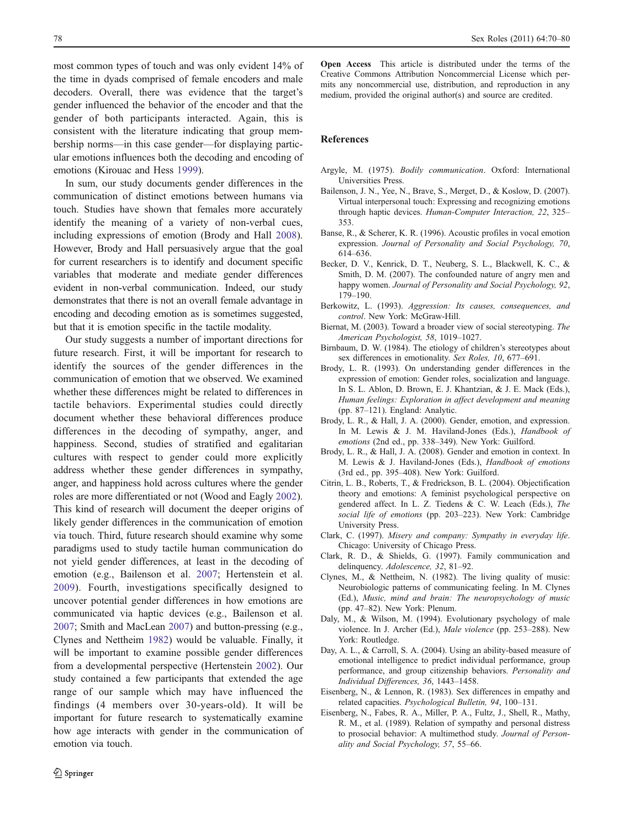<span id="page-8-0"></span>most common types of touch and was only evident 14% of the time in dyads comprised of female encoders and male decoders. Overall, there was evidence that the target's gender influenced the behavior of the encoder and that the gender of both participants interacted. Again, this is consistent with the literature indicating that group membership norms—in this case gender—for displaying particular emotions influences both the decoding and encoding of emotions (Kirouac and Hess [1999](#page-9-0)).

In sum, our study documents gender differences in the communication of distinct emotions between humans via touch. Studies have shown that females more accurately identify the meaning of a variety of non-verbal cues, including expressions of emotion (Brody and Hall 2008). However, Brody and Hall persuasively argue that the goal for current researchers is to identify and document specific variables that moderate and mediate gender differences evident in non-verbal communication. Indeed, our study demonstrates that there is not an overall female advantage in encoding and decoding emotion as is sometimes suggested, but that it is emotion specific in the tactile modality.

Our study suggests a number of important directions for future research. First, it will be important for research to identify the sources of the gender differences in the communication of emotion that we observed. We examined whether these differences might be related to differences in tactile behaviors. Experimental studies could directly document whether these behavioral differences produce differences in the decoding of sympathy, anger, and happiness. Second, studies of stratified and egalitarian cultures with respect to gender could more explicitly address whether these gender differences in sympathy, anger, and happiness hold across cultures where the gender roles are more differentiated or not (Wood and Eagly [2002](#page-10-0)). This kind of research will document the deeper origins of likely gender differences in the communication of emotion via touch. Third, future research should examine why some paradigms used to study tactile human communication do not yield gender differences, at least in the decoding of emotion (e.g., Bailenson et al. 2007; Hertenstein et al. [2009\)](#page-9-0). Fourth, investigations specifically designed to uncover potential gender differences in how emotions are communicated via haptic devices (e.g., Bailenson et al. 2007; Smith and MacLean [2007\)](#page-10-0) and button-pressing (e.g., Clynes and Nettheim 1982) would be valuable. Finally, it will be important to examine possible gender differences from a developmental perspective (Hertenstein [2002](#page-9-0)). Our study contained a few participants that extended the age range of our sample which may have influenced the findings (4 members over 30-years-old). It will be important for future research to systematically examine how age interacts with gender in the communication of emotion via touch.

Open Access This article is distributed under the terms of the Creative Commons Attribution Noncommercial License which permits any noncommercial use, distribution, and reproduction in any medium, provided the original author(s) and source are credited.

## References

- Argyle, M. (1975). Bodily communication. Oxford: International Universities Press.
- Bailenson, J. N., Yee, N., Brave, S., Merget, D., & Koslow, D. (2007). Virtual interpersonal touch: Expressing and recognizing emotions through haptic devices. Human-Computer Interaction, 22, 325– 353.
- Banse, R., & Scherer, K. R. (1996). Acoustic profiles in vocal emotion expression. Journal of Personality and Social Psychology, 70, 614–636.
- Becker, D. V., Kenrick, D. T., Neuberg, S. L., Blackwell, K. C., & Smith, D. M. (2007). The confounded nature of angry men and happy women. Journal of Personality and Social Psychology, 92, 179–190.
- Berkowitz, L. (1993). Aggression: Its causes, consequences, and control. New York: McGraw-Hill.
- Biernat, M. (2003). Toward a broader view of social stereotyping. The American Psychologist, 58, 1019–1027.
- Birnbaum, D. W. (1984). The etiology of children's stereotypes about sex differences in emotionality. Sex Roles, 10, 677–691.
- Brody, L. R. (1993). On understanding gender differences in the expression of emotion: Gender roles, socialization and language. In S. L. Ablon, D. Brown, E. J. Khantzian, & J. E. Mack (Eds.), Human feelings: Exploration in affect development and meaning (pp. 87–121). England: Analytic.
- Brody, L. R., & Hall, J. A. (2000). Gender, emotion, and expression. In M. Lewis & J. M. Haviland-Jones (Eds.), Handbook of emotions (2nd ed., pp. 338–349). New York: Guilford.
- Brody, L. R., & Hall, J. A. (2008). Gender and emotion in context. In M. Lewis & J. Haviland-Jones (Eds.), Handbook of emotions (3rd ed., pp. 395–408). New York: Guilford.
- Citrin, L. B., Roberts, T., & Fredrickson, B. L. (2004). Objectification theory and emotions: A feminist psychological perspective on gendered affect. In L. Z. Tiedens & C. W. Leach (Eds.), The social life of emotions (pp. 203–223). New York: Cambridge University Press.
- Clark, C. (1997). Misery and company: Sympathy in everyday life. Chicago: University of Chicago Press.
- Clark, R. D., & Shields, G. (1997). Family communication and delinquency. Adolescence, 32, 81–92.
- Clynes, M., & Nettheim, N. (1982). The living quality of music: Neurobiologic patterns of communicating feeling. In M. Clynes (Ed.), Music, mind and brain: The neuropsychology of music (pp. 47–82). New York: Plenum.
- Daly, M., & Wilson, M. (1994). Evolutionary psychology of male violence. In J. Archer (Ed.), Male violence (pp. 253–288). New York: Routledge.
- Day, A. L., & Carroll, S. A. (2004). Using an ability-based measure of emotional intelligence to predict individual performance, group performance, and group citizenship behaviors. Personality and Individual Differences, 36, 1443–1458.
- Eisenberg, N., & Lennon, R. (1983). Sex differences in empathy and related capacities. Psychological Bulletin, 94, 100–131.
- Eisenberg, N., Fabes, R. A., Miller, P. A., Fultz, J., Shell, R., Mathy, R. M., et al. (1989). Relation of sympathy and personal distress to prosocial behavior: A multimethod study. Journal of Personality and Social Psychology, 57, 55–66.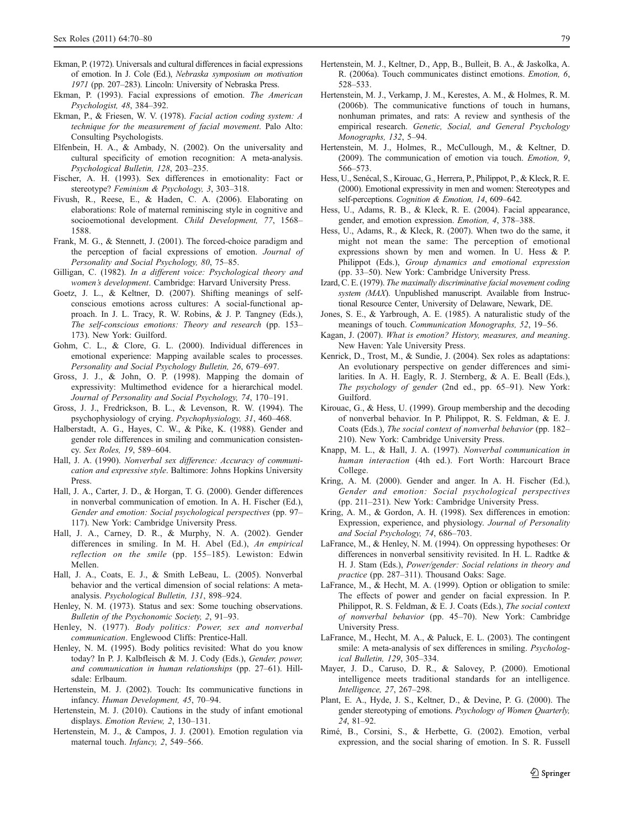- <span id="page-9-0"></span>Ekman, P. (1972). Universals and cultural differences in facial expressions of emotion. In J. Cole (Ed.), Nebraska symposium on motivation 1971 (pp. 207–283). Lincoln: University of Nebraska Press.
- Ekman, P. (1993). Facial expressions of emotion. The American Psychologist, 48, 384–392.
- Ekman, P., & Friesen, W. V. (1978). Facial action coding system: A technique for the measurement of facial movement. Palo Alto: Consulting Psychologists.
- Elfenbein, H. A., & Ambady, N. (2002). On the universality and cultural specificity of emotion recognition: A meta-analysis. Psychological Bulletin, 128, 203–235.
- Fischer, A. H. (1993). Sex differences in emotionality: Fact or stereotype? Feminism & Psychology, 3, 303–318.
- Fivush, R., Reese, E., & Haden, C. A. (2006). Elaborating on elaborations: Role of maternal reminiscing style in cognitive and socioemotional development. Child Development, 77, 1568– 1588.
- Frank, M. G., & Stennett, J. (2001). The forced-choice paradigm and the perception of facial expressions of emotion. Journal of Personality and Social Psychology, 80, 75–85.
- Gilligan, C. (1982). In a different voice: Psychological theory and women's development. Cambridge: Harvard University Press.
- Goetz, J. L., & Keltner, D. (2007). Shifting meanings of selfconscious emotions across cultures: A social-functional approach. In J. L. Tracy, R. W. Robins, & J. P. Tangney (Eds.), The self-conscious emotions: Theory and research (pp. 153– 173). New York: Guilford.
- Gohm, C. L., & Clore, G. L. (2000). Individual differences in emotional experience: Mapping available scales to processes. Personality and Social Psychology Bulletin, 26, 679–697.
- Gross, J. J., & John, O. P. (1998). Mapping the domain of expressivity: Multimethod evidence for a hierarchical model. Journal of Personality and Social Psychology, 74, 170–191.
- Gross, J. J., Fredrickson, B. L., & Levenson, R. W. (1994). The psychophysiology of crying. Psychophysiology, 31, 460–468.
- Halberstadt, A. G., Hayes, C. W., & Pike, K. (1988). Gender and gender role differences in smiling and communication consistency. Sex Roles, 19, 589–604.
- Hall, J. A. (1990). Nonverbal sex difference: Accuracy of communication and expressive style. Baltimore: Johns Hopkins University Press.
- Hall, J. A., Carter, J. D., & Horgan, T. G. (2000). Gender differences in nonverbal communication of emotion. In A. H. Fischer (Ed.), Gender and emotion: Social psychological perspectives (pp. 97– 117). New York: Cambridge University Press.
- Hall, J. A., Carney, D. R., & Murphy, N. A. (2002). Gender differences in smiling. In M. H. Abel (Ed.), An empirical reflection on the smile (pp. 155–185). Lewiston: Edwin Mellen.
- Hall, J. A., Coats, E. J., & Smith LeBeau, L. (2005). Nonverbal behavior and the vertical dimension of social relations: A metaanalysis. Psychological Bulletin, 131, 898–924.
- Henley, N. M. (1973). Status and sex: Some touching observations. Bulletin of the Psychonomic Society, 2, 91–93.
- Henley, N. (1977). Body politics: Power, sex and nonverbal communication. Englewood Cliffs: Prentice-Hall.
- Henley, N. M. (1995). Body politics revisited: What do you know today? In P. J. Kalbfleisch & M. J. Cody (Eds.), Gender, power, and communication in human relationships (pp. 27–61). Hillsdale: Erlbaum.
- Hertenstein, M. J. (2002). Touch: Its communicative functions in infancy. Human Development, 45, 70–94.
- Hertenstein, M. J. (2010). Cautions in the study of infant emotional displays. Emotion Review, 2, 130–131.
- Hertenstein, M. J., & Campos, J. J. (2001). Emotion regulation via maternal touch. Infancy, 2, 549–566.
- Hertenstein, M. J., Keltner, D., App, B., Bulleit, B. A., & Jaskolka, A. R. (2006a). Touch communicates distinct emotions. Emotion, 6, 528–533.
- Hertenstein, M. J., Verkamp, J. M., Kerestes, A. M., & Holmes, R. M. (2006b). The communicative functions of touch in humans, nonhuman primates, and rats: A review and synthesis of the empirical research. Genetic, Social, and General Psychology Monographs, 132, 5–94.
- Hertenstein, M. J., Holmes, R., McCullough, M., & Keltner, D. (2009). The communication of emotion via touch. Emotion, 9, 566–573.
- Hess, U., Senécal, S., Kirouac, G., Herrera, P., Philippot, P., & Kleck, R. E. (2000). Emotional expressivity in men and women: Stereotypes and self-perceptions. Cognition & Emotion, 14, 609-642.
- Hess, U., Adams, R. B., & Kleck, R. E. (2004). Facial appearance, gender, and emotion expression. Emotion, 4, 378–388.
- Hess, U., Adams, R., & Kleck, R. (2007). When two do the same, it might not mean the same: The perception of emotional expressions shown by men and women. In U. Hess & P. Philippot (Eds.), Group dynamics and emotional expression (pp. 33–50). New York: Cambridge University Press.
- Izard, C. E. (1979). The maximally discriminative facial movement coding system (MAX). Unpublished manuscript. Available from Instructional Resource Center, University of Delaware, Newark, DE.
- Jones, S. E., & Yarbrough, A. E. (1985). A naturalistic study of the meanings of touch. Communication Monographs, 52, 19–56.
- Kagan, J. (2007). What is emotion? History, measures, and meaning. New Haven: Yale University Press.
- Kenrick, D., Trost, M., & Sundie, J. (2004). Sex roles as adaptations: An evolutionary perspective on gender differences and similarities. In A. H. Eagly, R. J. Sternberg, & A. E. Beall (Eds.), The psychology of gender (2nd ed., pp. 65–91). New York: Guilford.
- Kirouac, G., & Hess, U. (1999). Group membership and the decoding of nonverbal behavior. In P. Philippot, R. S. Feldman, & E. J. Coats (Eds.), The social context of nonverbal behavior (pp. 182– 210). New York: Cambridge University Press.
- Knapp, M. L., & Hall, J. A. (1997). Nonverbal communication in human interaction (4th ed.). Fort Worth: Harcourt Brace College.
- Kring, A. M. (2000). Gender and anger. In A. H. Fischer (Ed.), Gender and emotion: Social psychological perspectives (pp. 211–231). New York: Cambridge University Press.
- Kring, A. M., & Gordon, A. H. (1998). Sex differences in emotion: Expression, experience, and physiology. Journal of Personality and Social Psychology, 74, 686–703.
- LaFrance, M., & Henley, N. M. (1994). On oppressing hypotheses: Or differences in nonverbal sensitivity revisited. In H. L. Radtke & H. J. Stam (Eds.), Power/gender: Social relations in theory and practice (pp. 287–311). Thousand Oaks: Sage.
- LaFrance, M., & Hecht, M. A. (1999). Option or obligation to smile: The effects of power and gender on facial expression. In P. Philippot, R. S. Feldman, & E. J. Coats (Eds.), The social context of nonverbal behavior (pp. 45–70). New York: Cambridge University Press.
- LaFrance, M., Hecht, M. A., & Paluck, E. L. (2003). The contingent smile: A meta-analysis of sex differences in smiling. Psychological Bulletin, 129, 305–334.
- Mayer, J. D., Caruso, D. R., & Salovey, P. (2000). Emotional intelligence meets traditional standards for an intelligence. Intelligence, 27, 267–298.
- Plant, E. A., Hyde, J. S., Keltner, D., & Devine, P. G. (2000). The gender stereotyping of emotions. Psychology of Women Quarterly, 24, 81–92.
- Rimé, B., Corsini, S., & Herbette, G. (2002). Emotion, verbal expression, and the social sharing of emotion. In S. R. Fussell